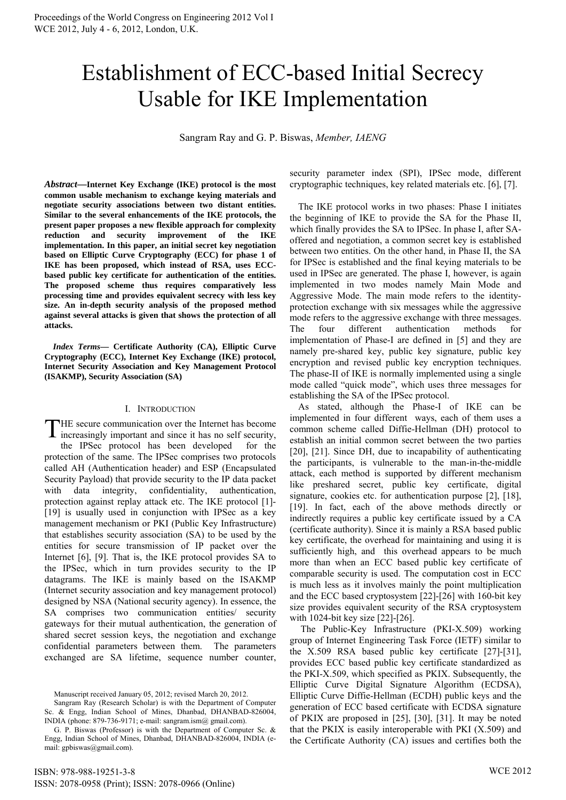# Establishment of ECC-based Initial Secrecy Usable for IKE Implementation

Sangram Ray and G. P. Biswas, *Member, IAENG*

*Abstract***—Internet Key Exchange (IKE) protocol is the most common usable mechanism to exchange keying materials and negotiate security associations between two distant entities. Similar to the several enhancements of the IKE protocols, the present paper proposes a new flexible approach for complexity reduction and security improvement of the IKE implementation. In this paper, an initial secret key negotiation based on Elliptic Curve Cryptography (ECC) for phase 1 of IKE has been proposed, which instead of RSA, uses ECCbased public key certificate for authentication of the entities. The proposed scheme thus requires comparatively less processing time and provides equivalent secrecy with less key size. An in-depth security analysis of the proposed method against several attacks is given that shows the protection of all attacks.**

*Index Terms***— Certificate Authority (CA), Elliptic Curve Cryptography (ECC), Internet Key Exchange (IKE) protocol, Internet Security Association and Key Management Protocol (ISAKMP), Security Association (SA)** 

## I. INTRODUCTION

THE secure communication over the Internet has become increasingly important and since it has no self security, increasingly important and since it has no self security,

the IPSec protocol has been developed for the protection of the same. The IPSec comprises two protocols called AH (Authentication header) and ESP (Encapsulated Security Payload) that provide security to the IP data packet with data integrity, confidentiality, authentication, protection against replay attack etc. The IKE protocol [1]- [19] is usually used in conjunction with IPSec as a key management mechanism or PKI (Public Key Infrastructure) that establishes security association (SA) to be used by the entities for secure transmission of IP packet over the Internet [6], [9]. That is, the IKE protocol provides SA to the IPSec, which in turn provides security to the IP datagrams. The IKE is mainly based on the ISAKMP (Internet security association and key management protocol) designed by NSA (National security agency). In essence, the SA comprises two communication entities/ security gateways for their mutual authentication, the generation of shared secret session keys, the negotiation and exchange confidential parameters between them. The parameters exchanged are SA lifetime, sequence number counter,

security parameter index (SPI), IPSec mode, different cryptographic techniques, key related materials etc. [6], [7].

The IKE protocol works in two phases: Phase I initiates the beginning of IKE to provide the SA for the Phase II, which finally provides the SA to IPSec. In phase I, after SAoffered and negotiation, a common secret key is established between two entities. On the other hand, in Phase II, the SA for IPSec is established and the final keying materials to be used in IPSec are generated. The phase I, however, is again implemented in two modes namely Main Mode and Aggressive Mode. The main mode refers to the identityprotection exchange with six messages while the aggressive mode refers to the aggressive exchange with three messages. The four different authentication methods for implementation of Phase-I are defined in [5] and they are namely pre-shared key, public key signature, public key encryption and revised public key encryption techniques. The phase-II of IKE is normally implemented using a single mode called "quick mode", which uses three messages for establishing the SA of the IPSec protocol.

As stated, although the Phase-I of IKE can be implemented in four different ways, each of them uses a common scheme called Diffie-Hellman (DH) protocol to establish an initial common secret between the two parties [20], [21]. Since DH, due to incapability of authenticating the participants, is vulnerable to the man-in-the-middle attack, each method is supported by different mechanism like preshared secret, public key certificate, digital signature, cookies etc. for authentication purpose [2], [18], [19]. In fact, each of the above methods directly or indirectly requires a public key certificate issued by a CA (certificate authority). Since it is mainly a RSA based public key certificate, the overhead for maintaining and using it is sufficiently high, and this overhead appears to be much more than when an ECC based public key certificate of comparable security is used. The computation cost in ECC is much less as it involves mainly the point multiplication and the ECC based cryptosystem [22]-[26] with 160-bit key size provides equivalent security of the RSA cryptosystem with 1024-bit key size [22]-[26].

 The Public-Key Infrastructure (PKI-X.509) working group of Internet Engineering Task Force (IETF) similar to the X.509 RSA based public key certificate [27]-[31], provides ECC based public key certificate standardized as the PKI-X.509, which specified as PKIX. Subsequently, the Elliptic Curve Digital Signature Algorithm (ECDSA), Elliptic Curve Diffie-Hellman (ECDH) public keys and the generation of ECC based certificate with ECDSA signature of PKIX are proposed in [25], [30], [31]. It may be noted that the PKIX is easily interoperable with PKI  $(X.509)$  and the Certificate Authority (CA) issues and certifies both the

Manuscript received January 05, 2012; revised March 20, 2012.

Sangram Ray (Research Scholar) is with the Department of Computer Sc. & Engg, Indian School of Mines, Dhanbad, DHANBAD-826004, INDIA (phone: 879-736-9171; e-mail: sangram.ism@ gmail.com).

G. P. Biswas (Professor) is with the Department of Computer Sc. & Engg, Indian School of Mines, Dhanbad, DHANBAD-826004, INDIA (email: gpbiswas@gmail.com).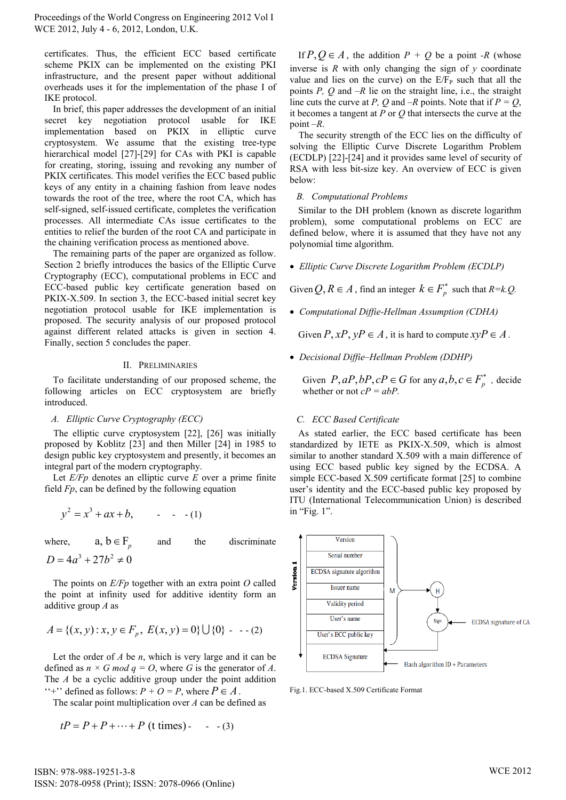certificates. Thus, the efficient ECC based certificate scheme PKIX can be implemented on the existing PKI infrastructure, and the present paper without additional overheads uses it for the implementation of the phase I of IKE protocol.

In brief, this paper addresses the development of an initial secret key negotiation protocol usable for IKE implementation based on PKIX in elliptic curve cryptosystem. We assume that the existing tree-type hierarchical model [27]-[29] for CAs with PKI is capable for creating, storing, issuing and revoking any number of PKIX certificates. This model verifies the ECC based public keys of any entity in a chaining fashion from leave nodes towards the root of the tree, where the root CA, which has self-signed, self-issued certificate, completes the verification processes. All intermediate CAs issue certificates to the entities to relief the burden of the root CA and participate in the chaining verification process as mentioned above.

The remaining parts of the paper are organized as follow. Section 2 briefly introduces the basics of the Elliptic Curve Cryptography (ECC), computational problems in ECC and ECC-based public key certificate generation based on PKIX-X.509. In section 3, the ECC-based initial secret key negotiation protocol usable for IKE implementation is proposed. The security analysis of our proposed protocol against different related attacks is given in section 4. Finally, section 5 concludes the paper.

#### II. PRELIMINARIES

To facilitate understanding of our proposed scheme, the following articles on ECC cryptosystem are briefly introduced.

## *A. Elliptic Curve Cryptography (ECC)*

The elliptic curve cryptosystem [22], [26] was initially proposed by Koblitz [23] and then Miller [24] in 1985 to design public key cryptosystem and presently, it becomes an integral part of the modern cryptography.

Let *E/Fp* denotes an elliptic curve *E* over a prime finite field *Fp*, can be defined by the following equation

$$
y^2 = x^3 + ax + b, \qquad - (1)
$$

where,  $a, b \in F_n$ and the discriminate  $D = 4a^3 + 27b^2 \neq 0$ 

The points on *E/Fp* together with an extra point *O* called the point at infinity used for additive identity form an additive group *A* as

$$
A = \{(x, y) : x, y \in F_p, E(x, y) = 0\} \cup \{0\} \quad (2)
$$

Let the order of *A* be *n*, which is very large and it can be defined as  $n \times G$  *mod*  $q = O$ , where G is the generator of A. The *A* be a cyclic additive group under the point addition "<sup>+</sup>" defined as follows:  $P + O = P$ , where  $P \in A$ .

The scalar point multiplication over *A* can be defined as

$$
tP = P + P + \dots + P \text{ (t times)} - (3)
$$

If  $P, Q \in A$ , the addition  $P + Q$  be a point *-R* (whose inverse is  $R$  with only changing the sign of  $\nu$  coordinate value and lies on the curve) on the  $E/F<sub>P</sub>$  such that all the points *P, Q* and *–R* lie on the straight line, i.e., the straight line cuts the curve at *P*, *Q* and  $-R$  points. Note that if  $P = Q$ , it becomes a tangent at *P* or *Q* that intersects the curve at the point *–R*.

The security strength of the ECC lies on the difficulty of solving the Elliptic Curve Discrete Logarithm Problem (ECDLP) [22]-[24] and it provides same level of security of RSA with less bit-size key. An overview of ECC is given below:

#### *B. Computational Problems*

Similar to the DH problem (known as discrete logarithm problem), some computational problems on ECC are defined below, where it is assumed that they have not any polynomial time algorithm.

*Elliptic Curve Discrete Logarithm Problem (ECDLP)* 

Given  $Q, R \in A$ , find an integer  $k \in F_n^*$  such that  $R = k \cdot Q$ .

*Computational Diffie-Hellman Assumption (CDHA)* 

Given  $P, xP, yP \in A$ , it is hard to compute  $xyP \in A$ .

*Decisional Diffie–Hellman Problem (DDHP)* 

Given  $P$ ,  $aP$ ,  $bP$ ,  $cP \in G$  for any  $a, b, c \in F_n^*$ , decide whether or not  $cP = abP$ .

## *C. ECC Based Certificate*

As stated earlier, the ECC based certificate has been standardized by IETE as PKIX-X.509, which is almost similar to another standard X.509 with a main difference of using ECC based public key signed by the ECDSA. A simple ECC-based X.509 certificate format [25] to combine user's identity and the ECC-based public key proposed by ITU (International Telecommunication Union) is described in "Fig. 1".



Fig.1. ECC-based X.509 Certificate Format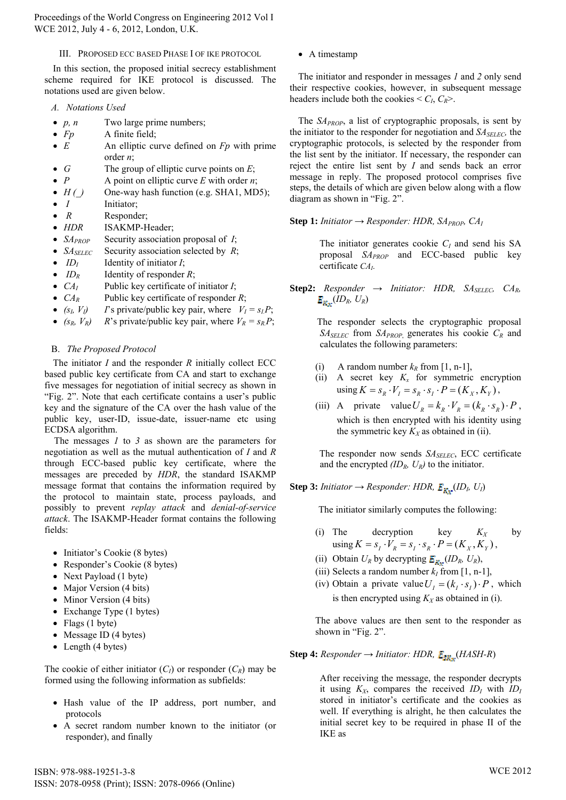## III. PROPOSED ECC BASED PHASE I OF IKE PROTOCOL

In this section, the proposed initial secrecy establishment scheme required for IKE protocol is discussed. The notations used are given below.

- *A. Notations Used*
- *p, n* Two large prime numbers;
- *Fp* A finite field;
- *E* An elliptic curve defined on *Fp* with prime order *n*;
- *G* The group of elliptic curve points on *E*;
- *P* A point on elliptic curve *E* with order *n*;
- *H ()* One-way hash function (e.g. SHA1, MD5);
- *I* Initiator;
- *R* Responder;
- *HDR* ISAKMP-Header;
- *SA<sub>PROP</sub>* Security association proposal of *I*;
- *SA<sub>SELEC</sub>* Security association selected by *R*;
- $ID<sub>I</sub>$  Identity of initiator *I*;
- $ID_R$  Identity of responder *R*;
- $CA<sub>I</sub>$  Public key certificate of initiator *I*;
- $CA_R$  Public key certificate of responder *R*;
- $(s_i, V_i)$  *I*'s private/public key pair, where  $V_I = s_I P$ ;
- $(s_R, V_R)$  *R*'s private/public key pair, where  $V_R = s_R P$ ;

## B. *The Proposed Protocol*

The initiator *I* and the responder *R* initially collect ECC based public key certificate from CA and start to exchange five messages for negotiation of initial secrecy as shown in "Fig. 2". Note that each certificate contains a user's public key and the signature of the CA over the hash value of the public key, user-ID, issue-date, issuer-name etc using ECDSA algorithm.

The messages *1* to *3* as shown are the parameters for negotiation as well as the mutual authentication of *I* and *R* through ECC-based public key certificate, where the messages are preceded by *HDR*, the standard ISAKMP message format that contains the information required by the protocol to maintain state, process payloads, and possibly to prevent *replay attack* and *denial-of-service attack*. The ISAKMP-Header format contains the following fields:

- Initiator's Cookie (8 bytes)
- Responder's Cookie (8 bytes)
- Next Payload (1 byte)
- Major Version (4 bits)
- Minor Version (4 bits)
- Exchange Type (1 bytes)
- Flags  $(1 \text{ byte})$
- Message ID (4 bytes)
- $\bullet$  Length (4 bytes)

The cookie of either initiator  $(C_I)$  or responder  $(C_R)$  may be formed using the following information as subfields:

- Hash value of the IP address, port number, and protocols
- A secret random number known to the initiator (or responder), and finally

• A timestamp

The initiator and responder in messages *1* and *2* only send their respective cookies, however, in subsequent message headers include both the cookies  $\leq C_I$ ,  $C_R$ >.

The *SAPROP*, a list of cryptographic proposals, is sent by the initiator to the responder for negotiation and  $SA_{SELEC}$ , the cryptographic protocols, is selected by the responder from the list sent by the initiator. If necessary, the responder can reject the entire list sent by *I* and sends back an error message in reply. The proposed protocol comprises five steps, the details of which are given below along with a flow diagram as shown in "Fig. 2".

**Step 1:** *Initiator*  $\rightarrow$  *Responder: HDR, SA<sub>PROP</sub>, CA*<sub>*I</sub>*</sub>

The initiator generates cookie  $C_I$  and send his SA proposal *SAPROP* and ECC-based public key certificate *CAI*.

**Step2:** *Responder → Initiator: HDR, SASELEC, CAR,*   $E_{K_v}(ID_R, U_R)$ 

> The responder selects the cryptographic proposal *SASELEC* from *SAPROP*, generates his cookie *CR* and calculates the following parameters:

- (i) A random number  $k_R$  from [1, n-1],
- (ii) A secret key  $K_x$  for symmetric encryption  $using K = S_R \cdot V_I = S_R \cdot S_I \cdot P = (K_X, K_Y),$
- (iii) A private value  $U_R = k_R \cdot V_R = (k_R \cdot s_R) \cdot P$ , which is then encrypted with his identity using the symmetric key  $K_X$  as obtained in (ii).

The responder now sends  $S\!A<sub>SELECT</sub>$ , ECC certificate and the encrypted *(IDR, UR)* to the initiator.

**Step 3:** *Initiator*  $\rightarrow$  *Responder: HDR,*  $E_{\text{Ker}}(ID_{L} U_{I})$ 

The initiator similarly computes the following:

- (i) The decryption key  $K_X$  by  $using K = s_I \cdot V_R = s_I \cdot s_R \cdot P = (K_X, K_Y),$
- (ii) Obtain  $U_R$  by decrypting  $\mathbf{E}_{\mathbf{K}_T}(ID_R, U_R)$ ,
- (iii) Selects a random number  $k_I$  from [1, n-1],
- (iv) Obtain a private value  $U_I = (k_I \cdot s_I) \cdot P$ , which is then encrypted using  $K_X$  as obtained in (i).

The above values are then sent to the responder as shown in "Fig. 2".

**Step 4:** *Responder → Initiator: HDR,* (*HASH-R*)

After receiving the message, the responder decrypts it using  $K_X$ , compares the received  $ID_I$  with  $ID_I$ stored in initiator's certificate and the cookies as well. If everything is alright, he then calculates the initial secret key to be required in phase II of the IKE as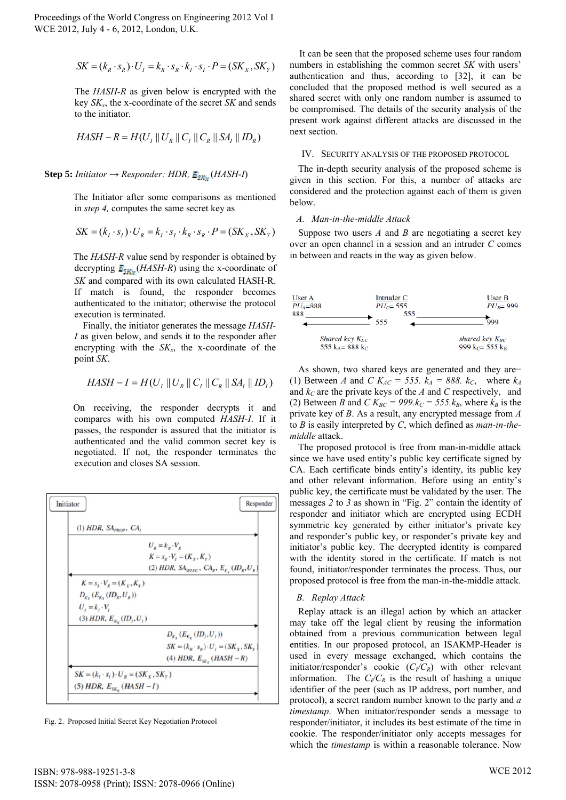$$
SK = (k_R \cdot s_R) \cdot U_I = k_R \cdot s_R \cdot k_I \cdot s_I \cdot P = (SK_x, SK_y)
$$

The *HASH-R* as given below is encrypted with the key *SKx*, the x-coordinate of the secret *SK* and sends to the initiator.

$$
HASH - R = H(U_I || U_R || C_I || C_R || SA_I || ID_R)
$$

**Step 5:** *Initiator*  $\rightarrow$  *Responder: HDR,*  $E_{SR}$  (*HASH-I*)

The Initiator after some comparisons as mentioned in *step 4,* computes the same secret key as

$$
SK = (kI \cdot sI) \cdot UR = kI \cdot sI \cdot kR \cdot sR \cdot P = (SKX, SKY)
$$

The *HASH-R* value send by responder is obtained by decrypting  $E_{SNx}$  (*HASH-R*) using the x-coordinate of *SK* and compared with its own calculated HASH-R. If match is found, the responder becomes authenticated to the initiator; otherwise the protocol execution is terminated.

Finally, the initiator generates the message *HASH-I* as given below, and sends it to the responder after encrypting with the  $SK_x$ , the x-coordinate of the point *SK*.

$$
HASH - I = H(U_I || U_R || C_I || C_R || SA_I || ID_I)
$$

On receiving, the responder decrypts it and compares with his own computed *HASH-I*. If it passes, the responder is assured that the initiator is authenticated and the valid common secret key is negotiated. If not, the responder terminates the execution and closes SA session.



Fig. 2. Proposed Initial Secret Key Negotiation Protocol

It can be seen that the proposed scheme uses four random numbers in establishing the common secret *SK* with users' authentication and thus, according to [32], it can be concluded that the proposed method is well secured as a shared secret with only one random number is assumed to be compromised. The details of the security analysis of the present work against different attacks are discussed in the next section.

#### IV. SECURITY ANALYSIS OF THE PROPOSED PROTOCOL

The in-depth security analysis of the proposed scheme is given in this section. For this, a number of attacks are considered and the protection against each of them is given below.

#### *A. Man-in-the-middle Attack*

Suppose two users *A* and *B* are negotiating a secret key over an open channel in a session and an intruder *C* comes in between and reacts in the way as given below.



As shown, two shared keys are generated and they are− (1) Between *A* and *C*  $K_{AC} = 555$ .  $k_A = 888$ .  $k_C$ , where  $k_A$ and  $k<sub>C</sub>$  are the private keys of the *A* and *C* respectively, and (2) Between *B* and *C*  $K_{BC}$  = 999. $k_C$  = 555. $k_B$ , where  $k_B$  is the private key of *B*. As a result, any encrypted message from *A* to *B* is easily interpreted by *C*, which defined as *man-in-themiddle* attack.

The proposed protocol is free from man-in-middle attack since we have used entity's public key certificate signed by CA. Each certificate binds entity's identity, its public key and other relevant information. Before using an entity's public key, the certificate must be validated by the user. The messages *2* to *3* as shown in "Fig. 2" contain the identity of responder and initiator which are encrypted using ECDH symmetric key generated by either initiator's private key and responder's public key, or responder's private key and initiator's public key. The decrypted identity is compared with the identity stored in the certificate. If match is not found, initiator/responder terminates the process. Thus, our proposed protocol is free from the man-in-the-middle attack.

#### *B. Replay Attack*

Replay attack is an illegal action by which an attacker may take off the legal client by reusing the information obtained from a previous communication between legal entities. In our proposed protocol, an ISAKMP-Header is used in every message exchanged, which contains the initiator/responder's cookie  $(C_1/C_R)$  with other relevant information. The  $C_V/C_R$  is the result of hashing a unique identifier of the peer (such as IP address, port number, and protocol), a secret random number known to the party and *a timestamp*. When initiator/responder sends a message to responder/initiator, it includes its best estimate of the time in cookie. The responder/initiator only accepts messages for which the *timestamp* is within a reasonable tolerance. Now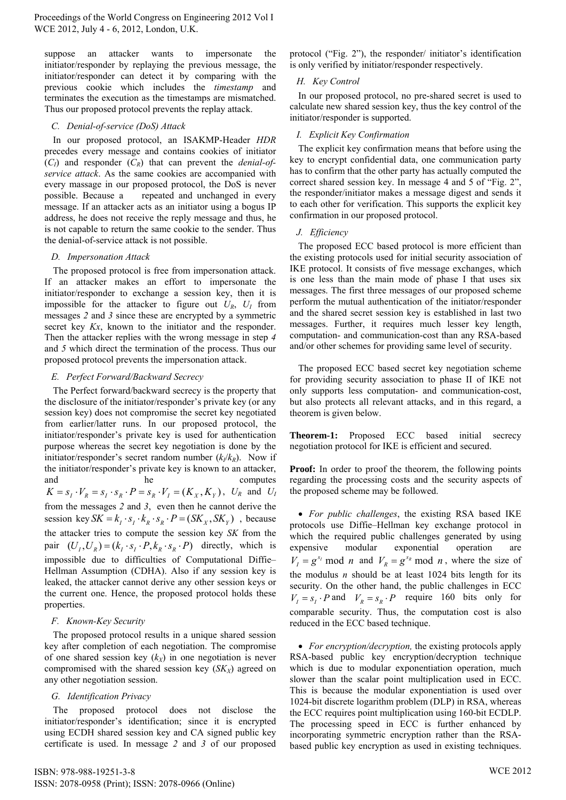suppose an attacker wants to impersonate the initiator/responder by replaying the previous message, the initiator/responder can detect it by comparing with the previous cookie which includes the *timestamp* and terminates the execution as the timestamps are mismatched. Thus our proposed protocol prevents the replay attack.

## *C. Denial-of-service (DoS) Attack*

In our proposed protocol, an ISAKMP-Header *HDR* precedes every message and contains cookies of initiator  $(C_I)$  and responder  $(C_R)$  that can prevent the *denial-ofservice attack*. As the same cookies are accompanied with every massage in our proposed protocol, the DoS is never possible. Because a repeated and unchanged in every message. If an attacker acts as an initiator using a bogus IP address, he does not receive the reply message and thus, he is not capable to return the same cookie to the sender. Thus the denial-of-service attack is not possible.

## *D. Impersonation Attack*

The proposed protocol is free from impersonation attack. If an attacker makes an effort to impersonate the initiator/responder to exchange a session key, then it is impossible for the attacker to figure out  $U_R$ ,  $U_I$  from messages *2* and *3* since these are encrypted by a symmetric secret key *Kx*, known to the initiator and the responder. Then the attacker replies with the wrong message in step *4* and *5* which direct the termination of the process. Thus our proposed protocol prevents the impersonation attack.

## *E. Perfect Forward/Backward Secrecy*

The Perfect forward/backward secrecy is the property that the disclosure of the initiator/responder's private key (or any session key) does not compromise the secret key negotiated from earlier/latter runs. In our proposed protocol, the initiator/responder's private key is used for authentication purpose whereas the secret key negotiation is done by the initiator/responder's secret random number  $(k_l/k_R)$ . Now if the initiator/responder's private key is known to an attacker, and he computes  $K = s_I \cdot V_R = s_I \cdot s_R \cdot P = s_R \cdot V_I = (K_X, K_Y)$ ,  $U_R$  and  $U_I$ from the messages *2* and *3*, even then he cannot derive the session key  $SK = k_i \cdot s_i \cdot k_i \cdot s_k \cdot P = (SK_x, SK_y)$ , because the attacker tries to compute the session key *SK* from the pair  $(U_1, U_2) = (k_1 \cdot s_1 \cdot P, k_2 \cdot s_2 \cdot P)$  directly, which is impossible due to difficulties of Computational Diffie– Hellman Assumption (CDHA). Also if any session key is leaked, the attacker cannot derive any other session keys or the current one. Hence, the proposed protocol holds these properties.

## *F. Known-Key Security*

The proposed protocol results in a unique shared session key after completion of each negotiation. The compromise of one shared session key  $(k_X)$  in one negotiation is never compromised with the shared session key  $(SK_X)$  agreed on any other negotiation session.

# *G. Identification Privacy*

The proposed protocol does not disclose the initiator/responder's identification; since it is encrypted using ECDH shared session key and CA signed public key certificate is used. In message *2* and *3* of our proposed protocol ("Fig. 2"), the responder/ initiator's identification is only verified by initiator/responder respectively.

# *H. Key Control*

In our proposed protocol, no pre-shared secret is used to calculate new shared session key, thus the key control of the initiator/responder is supported.

# *I. Explicit Key Confirmation*

The explicit key confirmation means that before using the key to encrypt confidential data, one communication party has to confirm that the other party has actually computed the correct shared session key. In message 4 and 5 of "Fig. 2", the responder/initiator makes a message digest and sends it to each other for verification. This supports the explicit key confirmation in our proposed protocol.

# *J. Efficiency*

The proposed ECC based protocol is more efficient than the existing protocols used for initial security association of IKE protocol. It consists of five message exchanges, which is one less than the main mode of phase I that uses six messages. The first three messages of our proposed scheme perform the mutual authentication of the initiator/responder and the shared secret session key is established in last two messages. Further, it requires much lesser key length, computation- and communication-cost than any RSA-based and/or other schemes for providing same level of security.

The proposed ECC based secret key negotiation scheme for providing security association to phase II of IKE not only supports less computation- and communication-cost, but also protects all relevant attacks, and in this regard, a theorem is given below.

**Theorem-1:** Proposed ECC based initial secrecy negotiation protocol for IKE is efficient and secured.

**Proof:** In order to proof the theorem, the following points regarding the processing costs and the security aspects of the proposed scheme may be followed.

 *For public challenges*, the existing RSA based IKE protocols use Diffie–Hellman key exchange protocol in which the required public challenges generated by using expensive modular exponential operation are  $V_I = g^{s_I} \text{ mod } n \text{ and } V_R = g^{s_R} \text{ mod } n$ , where the size of the modulus *n* should be at least 1024 bits length for its security. On the other hand, the public challenges in ECC  $V_I = s_I \cdot P$  and  $V_R = s_R \cdot P$  require 160 bits only for comparable security. Thus, the computation cost is also reduced in the ECC based technique.

 *For encryption/decryption,* the existing protocols apply RSA-based public key encryption/decryption technique which is due to modular exponentiation operation, much slower than the scalar point multiplication used in ECC. This is because the modular exponentiation is used over 1024-bit discrete logarithm problem (DLP) in RSA, whereas the ECC requires point multiplication using 160-bit ECDLP. The processing speed in ECC is further enhanced by incorporating symmetric encryption rather than the RSAbased public key encryption as used in existing techniques.